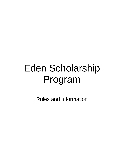# Eden Scholarship Program

Rules and Information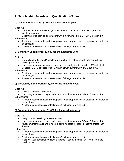## **1. Scholarship Awards and Qualifications/Rules**

#### **A) General Scholarship: \$1,000 for the academic year**

Eligibility:

- Currently attends Eden Presbyterian Church or any other church in Oregon & SW Washington area
- Upcoming or current college student with a minimum current GPA of 3.0 out of 4.0 Submissions:
	- A letter of recommendation from a pastor, teacher, professor, an organization leader, or an employer
	- A letter of personal essay or testimony (1 full page, font size 12)

#### **B) Seminary Scholarship: \$1,000 for the academic year**

Eligibility:

- Currently attends Eden Presbyterian Church or any other church in Oregon & SW Washington area
- Upcoming or current seminary student accredited by the Association of Theological Schools (ATS) & affiliated with PCA; a minimum current GPA of 3.0 out of 4.0

Submissions:

- A letter of recommendation from a pastor, teacher, professor, an organization leader, or an employer
- A letter of personal essay or testimony (1 full page, font size 12)

#### **C) Missionary Scholarship: \$1,000 for the academic year**

Eligibility:

- Children of current missionaries
- Upcoming or current college student with a minimum current GPA of 3.0 out of 4.0 Submissions:
	- A letter of recommendation from a pastor, teacher, professor, an organization leader, or an employer
	- A letter of personal essay or testimony (1 full page, font size 12)

#### **D) Community Scholarship: \$1,000 for the academic year**

Eligibility:

- Oregon or SW Washington state resident
- Upcoming or current college student with a minimum current GPA of 3.0 out of 4.0
- Must demonstrate a financial need; a combined total household income of less than \$70,000

Submissions:

- A letter of recommendation from a pastor, teacher, professor, an organization leader, or an employer
- A letter of personal essay or testimony (1 full page, font size 12)
- A copy of your combined household income (Federal Income Tax Return) from the previous year